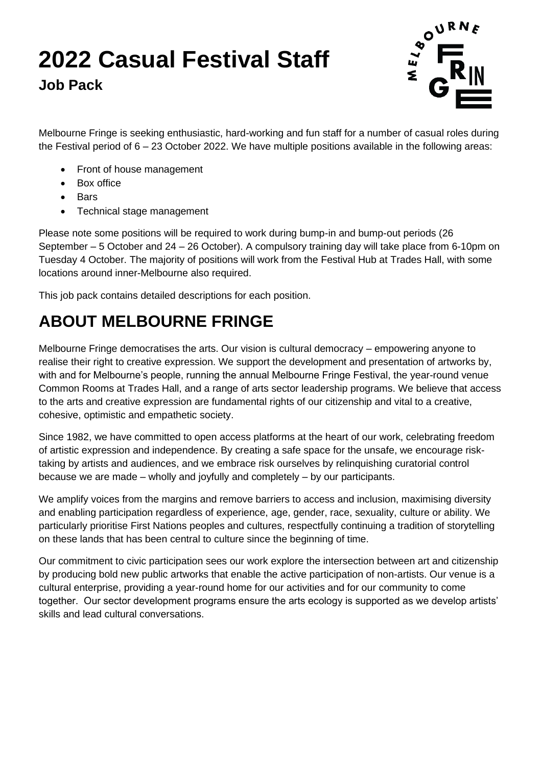# **2022 Casual Festival Staff**

**Job Pack**



Melbourne Fringe is seeking enthusiastic, hard-working and fun staff for a number of casual roles during the Festival period of 6 – 23 October 2022. We have multiple positions available in the following areas:

- Front of house management
- Box office
- Bars
- Technical stage management

Please note some positions will be required to work during bump-in and bump-out periods (26 September – 5 October and 24 – 26 October). A compulsory training day will take place from 6-10pm on Tuesday 4 October. The majority of positions will work from the Festival Hub at Trades Hall, with some locations around inner-Melbourne also required.

This job pack contains detailed descriptions for each position.

## **ABOUT MELBOURNE FRINGE**

Melbourne Fringe democratises the arts. Our vision is cultural democracy – empowering anyone to realise their right to creative expression. We support the development and presentation of artworks by, with and for Melbourne's people, running the annual Melbourne Fringe Festival, the year-round venue Common Rooms at Trades Hall, and a range of arts sector leadership programs. We believe that access to the arts and creative expression are fundamental rights of our citizenship and vital to a creative, cohesive, optimistic and empathetic society.

Since 1982, we have committed to open access platforms at the heart of our work, celebrating freedom of artistic expression and independence. By creating a safe space for the unsafe, we encourage risktaking by artists and audiences, and we embrace risk ourselves by relinquishing curatorial control because we are made – wholly and joyfully and completely – by our participants.

We amplify voices from the margins and remove barriers to access and inclusion, maximising diversity and enabling participation regardless of experience, age, gender, race, sexuality, culture or ability. We particularly prioritise First Nations peoples and cultures, respectfully continuing a tradition of storytelling on these lands that has been central to culture since the beginning of time.

Our commitment to civic participation sees our work explore the intersection between art and citizenship by producing bold new public artworks that enable the active participation of non-artists. Our venue is a cultural enterprise, providing a year-round home for our activities and for our community to come together. Our sector development programs ensure the arts ecology is supported as we develop artists' skills and lead cultural conversations.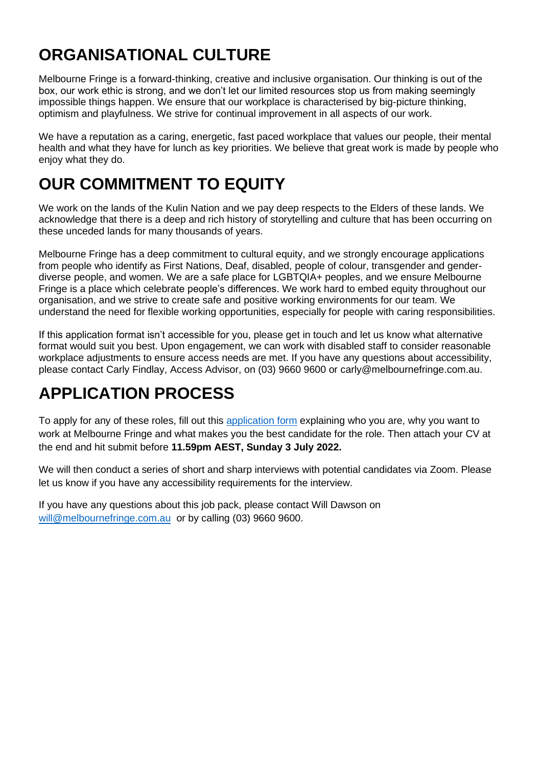## **ORGANISATIONAL CULTURE**

Melbourne Fringe is a forward-thinking, creative and inclusive organisation. Our thinking is out of the box, our work ethic is strong, and we don't let our limited resources stop us from making seemingly impossible things happen. We ensure that our workplace is characterised by big-picture thinking, optimism and playfulness. We strive for continual improvement in all aspects of our work.

We have a reputation as a caring, energetic, fast paced workplace that values our people, their mental health and what they have for lunch as key priorities. We believe that great work is made by people who enjoy what they do.

### **OUR COMMITMENT TO EQUITY**

We work on the lands of the Kulin Nation and we pay deep respects to the Elders of these lands. We acknowledge that there is a deep and rich history of storytelling and culture that has been occurring on these unceded lands for many thousands of years.

Melbourne Fringe has a deep commitment to cultural equity, and we strongly encourage applications from people who identify as First Nations, Deaf, disabled, people of colour, transgender and genderdiverse people, and women. We are a safe place for LGBTQIA+ peoples, and we ensure Melbourne Fringe is a place which celebrate people's differences. We work hard to embed equity throughout our organisation, and we strive to create safe and positive working environments for our team. We understand the need for flexible working opportunities, especially for people with caring responsibilities.

If this application format isn't accessible for you, please get in touch and let us know what alternative format would suit you best. Upon engagement, we can work with disabled staff to consider reasonable workplace adjustments to ensure access needs are met. If you have any questions about accessibility, please contact Carly Findlay, Access Advisor, on (03) 9660 9600 or [carly@melbournefringe.com.au.](mailto:carly@melbournefringe.com.au)

## **APPLICATION PROCESS**

To apply for any of these roles, fill out this [application form](https://form.jotform.com/221571797894877) explaining who you are, why you want to work at Melbourne Fringe and what makes you the best candidate for the role. Then attach your CV at the end and hit submit before **11.59pm AEST, Sunday 3 July 2022.**

We will then conduct a series of short and sharp interviews with potential candidates via Zoom. Please let us know if you have any accessibility requirements for the interview.

If you have any questions about this job pack, please contact Will Dawson on [will@melbournefringe.com.au](mailto:will@melbournefringe.com.au) or by calling (03) 9660 9600.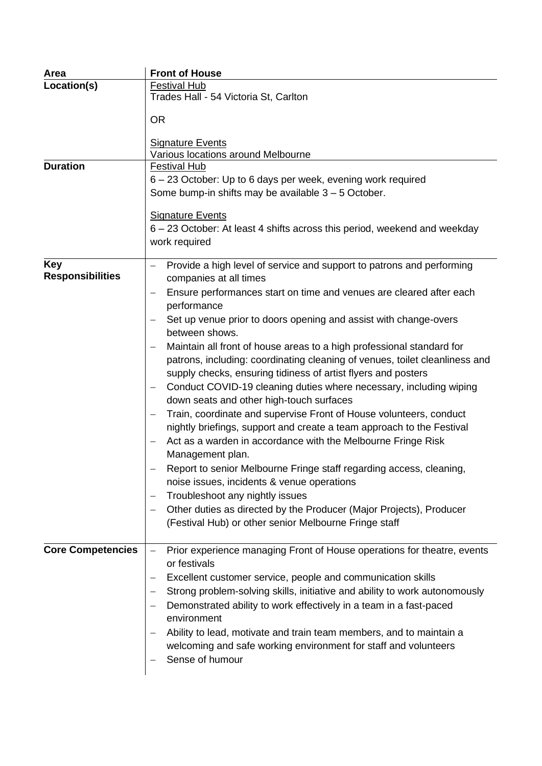| Area                                  | <b>Front of House</b>                                                                                                                                                                                                                                                 |
|---------------------------------------|-----------------------------------------------------------------------------------------------------------------------------------------------------------------------------------------------------------------------------------------------------------------------|
| Location(s)                           | <b>Festival Hub</b><br>Trades Hall - 54 Victoria St, Carlton                                                                                                                                                                                                          |
|                                       | <b>OR</b>                                                                                                                                                                                                                                                             |
|                                       | <b>Signature Events</b><br>Various locations around Melbourne                                                                                                                                                                                                         |
| <b>Duration</b>                       | <b>Festival Hub</b><br>6 – 23 October: Up to 6 days per week, evening work required<br>Some bump-in shifts may be available $3 - 5$ October.<br><b>Signature Events</b><br>6 – 23 October: At least 4 shifts across this period, weekend and weekday<br>work required |
| <b>Key</b><br><b>Responsibilities</b> | Provide a high level of service and support to patrons and performing<br>$\overline{\phantom{m}}$<br>companies at all times                                                                                                                                           |
|                                       | Ensure performances start on time and venues are cleared after each<br>performance                                                                                                                                                                                    |
|                                       | Set up venue prior to doors opening and assist with change-overs<br>between shows.                                                                                                                                                                                    |
|                                       | Maintain all front of house areas to a high professional standard for<br>patrons, including: coordinating cleaning of venues, toilet cleanliness and<br>supply checks, ensuring tidiness of artist flyers and posters                                                 |
|                                       | Conduct COVID-19 cleaning duties where necessary, including wiping<br>down seats and other high-touch surfaces                                                                                                                                                        |
|                                       | Train, coordinate and supervise Front of House volunteers, conduct<br>nightly briefings, support and create a team approach to the Festival                                                                                                                           |
|                                       | Act as a warden in accordance with the Melbourne Fringe Risk<br>Management plan.                                                                                                                                                                                      |
|                                       | Report to senior Melbourne Fringe staff regarding access, cleaning,<br>noise issues, incidents & venue operations                                                                                                                                                     |
|                                       | Troubleshoot any nightly issues                                                                                                                                                                                                                                       |
|                                       | Other duties as directed by the Producer (Major Projects), Producer<br>(Festival Hub) or other senior Melbourne Fringe staff                                                                                                                                          |
| <b>Core Competencies</b>              | Prior experience managing Front of House operations for theatre, events<br>or festivals                                                                                                                                                                               |
|                                       | Excellent customer service, people and communication skills                                                                                                                                                                                                           |
|                                       | Strong problem-solving skills, initiative and ability to work autonomously                                                                                                                                                                                            |
|                                       | Demonstrated ability to work effectively in a team in a fast-paced                                                                                                                                                                                                    |
|                                       | environment                                                                                                                                                                                                                                                           |
|                                       | Ability to lead, motivate and train team members, and to maintain a<br>welcoming and safe working environment for staff and volunteers<br>Sense of humour                                                                                                             |
|                                       |                                                                                                                                                                                                                                                                       |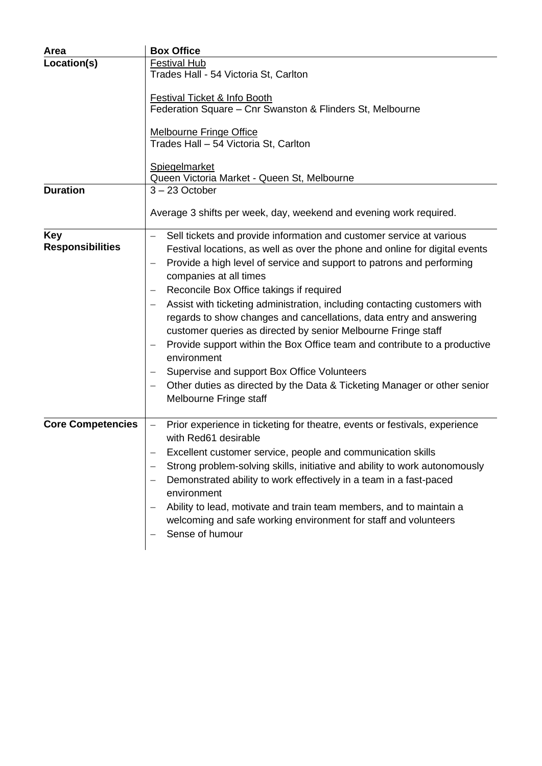| Area                                  | <b>Box Office</b>                                                                                                                                                                                                                                                                                                                                                                                                                                                                                                                                                                                                                                                                                                                                                                                                                                                   |
|---------------------------------------|---------------------------------------------------------------------------------------------------------------------------------------------------------------------------------------------------------------------------------------------------------------------------------------------------------------------------------------------------------------------------------------------------------------------------------------------------------------------------------------------------------------------------------------------------------------------------------------------------------------------------------------------------------------------------------------------------------------------------------------------------------------------------------------------------------------------------------------------------------------------|
| Location(s)                           | <b>Festival Hub</b><br>Trades Hall - 54 Victoria St, Carlton                                                                                                                                                                                                                                                                                                                                                                                                                                                                                                                                                                                                                                                                                                                                                                                                        |
|                                       | Festival Ticket & Info Booth<br>Federation Square - Cnr Swanston & Flinders St, Melbourne                                                                                                                                                                                                                                                                                                                                                                                                                                                                                                                                                                                                                                                                                                                                                                           |
|                                       | <b>Melbourne Fringe Office</b><br>Trades Hall - 54 Victoria St, Carlton                                                                                                                                                                                                                                                                                                                                                                                                                                                                                                                                                                                                                                                                                                                                                                                             |
|                                       | Spiegelmarket<br>Queen Victoria Market - Queen St, Melbourne                                                                                                                                                                                                                                                                                                                                                                                                                                                                                                                                                                                                                                                                                                                                                                                                        |
| <b>Duration</b>                       | $3 - 23$ October                                                                                                                                                                                                                                                                                                                                                                                                                                                                                                                                                                                                                                                                                                                                                                                                                                                    |
|                                       | Average 3 shifts per week, day, weekend and evening work required.                                                                                                                                                                                                                                                                                                                                                                                                                                                                                                                                                                                                                                                                                                                                                                                                  |
| <b>Key</b><br><b>Responsibilities</b> | Sell tickets and provide information and customer service at various<br>Festival locations, as well as over the phone and online for digital events<br>Provide a high level of service and support to patrons and performing<br>$\qquad \qquad -$<br>companies at all times<br>Reconcile Box Office takings if required<br>$\qquad \qquad -$<br>Assist with ticketing administration, including contacting customers with<br>regards to show changes and cancellations, data entry and answering<br>customer queries as directed by senior Melbourne Fringe staff<br>Provide support within the Box Office team and contribute to a productive<br>$\overline{\phantom{0}}$<br>environment<br>Supervise and support Box Office Volunteers<br>$\qquad \qquad -$<br>Other duties as directed by the Data & Ticketing Manager or other senior<br>Melbourne Fringe staff |
| <b>Core Competencies</b>              | Prior experience in ticketing for theatre, events or festivals, experience<br>$\overline{\phantom{0}}$<br>with Red61 desirable<br>Excellent customer service, people and communication skills<br>Strong problem-solving skills, initiative and ability to work autonomously<br>Demonstrated ability to work effectively in a team in a fast-paced<br>environment<br>Ability to lead, motivate and train team members, and to maintain a<br>welcoming and safe working environment for staff and volunteers<br>Sense of humour                                                                                                                                                                                                                                                                                                                                       |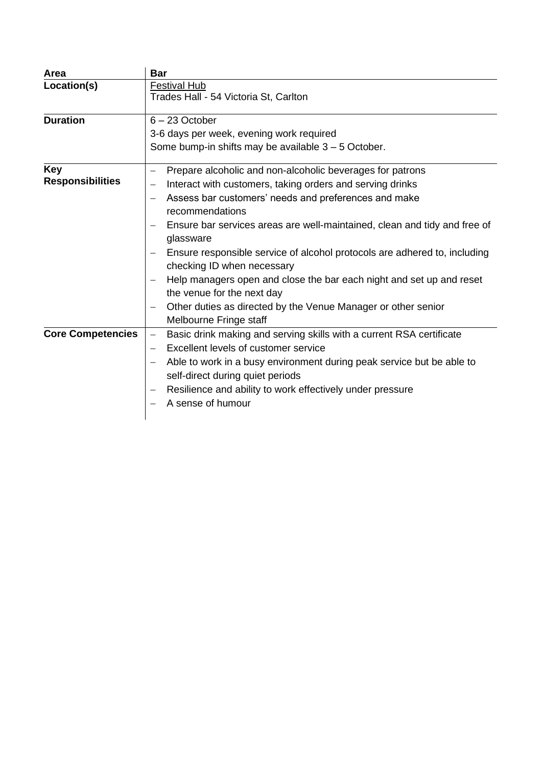| Area                                  | <b>Bar</b>                                                                                                                                                                                                                                                                                                                                                                                                                                                                                                                                                                                                                                        |
|---------------------------------------|---------------------------------------------------------------------------------------------------------------------------------------------------------------------------------------------------------------------------------------------------------------------------------------------------------------------------------------------------------------------------------------------------------------------------------------------------------------------------------------------------------------------------------------------------------------------------------------------------------------------------------------------------|
| Location(s)                           | <b>Festival Hub</b><br>Trades Hall - 54 Victoria St, Carlton                                                                                                                                                                                                                                                                                                                                                                                                                                                                                                                                                                                      |
| <b>Duration</b>                       | $6 - 23$ October<br>3-6 days per week, evening work required<br>Some bump-in shifts may be available $3 - 5$ October.                                                                                                                                                                                                                                                                                                                                                                                                                                                                                                                             |
| <b>Key</b><br><b>Responsibilities</b> | Prepare alcoholic and non-alcoholic beverages for patrons<br>Interact with customers, taking orders and serving drinks<br>$\qquad \qquad -$<br>Assess bar customers' needs and preferences and make<br>$\qquad \qquad -$<br>recommendations<br>Ensure bar services areas are well-maintained, clean and tidy and free of<br>glassware<br>Ensure responsible service of alcohol protocols are adhered to, including<br>checking ID when necessary<br>Help managers open and close the bar each night and set up and reset<br>the venue for the next day<br>Other duties as directed by the Venue Manager or other senior<br>Melbourne Fringe staff |
| <b>Core Competencies</b>              | Basic drink making and serving skills with a current RSA certificate<br>$\overline{\phantom{0}}$<br>Excellent levels of customer service<br>$\qquad \qquad -$<br>Able to work in a busy environment during peak service but be able to<br>self-direct during quiet periods<br>Resilience and ability to work effectively under pressure<br>A sense of humour                                                                                                                                                                                                                                                                                      |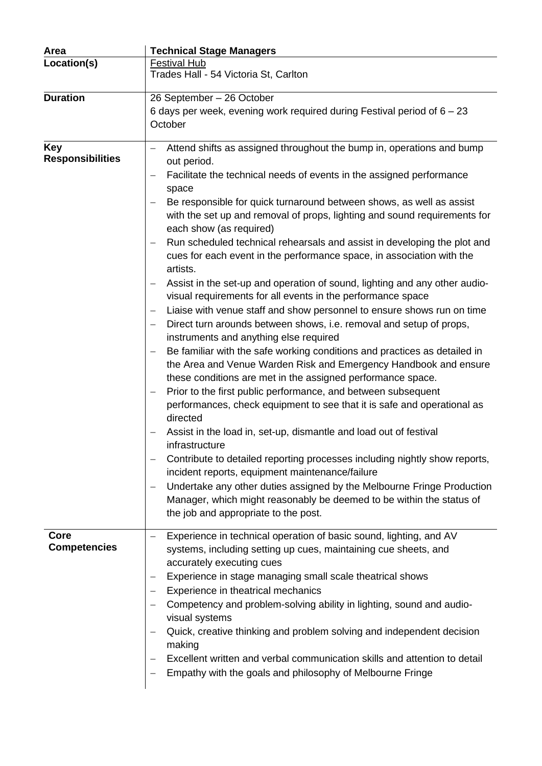| Area                                  | <b>Technical Stage Managers</b>                                                                                                                                                                                                                                                                                                                                                                                                                                                                                                                                                                                                                                                                                                                                                                                                                                                                                                                                                                                                                                                                                                                                                                                                                                                                                                                                                                                                                                                                                                                                                                                                                                                      |
|---------------------------------------|--------------------------------------------------------------------------------------------------------------------------------------------------------------------------------------------------------------------------------------------------------------------------------------------------------------------------------------------------------------------------------------------------------------------------------------------------------------------------------------------------------------------------------------------------------------------------------------------------------------------------------------------------------------------------------------------------------------------------------------------------------------------------------------------------------------------------------------------------------------------------------------------------------------------------------------------------------------------------------------------------------------------------------------------------------------------------------------------------------------------------------------------------------------------------------------------------------------------------------------------------------------------------------------------------------------------------------------------------------------------------------------------------------------------------------------------------------------------------------------------------------------------------------------------------------------------------------------------------------------------------------------------------------------------------------------|
| Location(s)                           | <b>Festival Hub</b><br>Trades Hall - 54 Victoria St, Carlton                                                                                                                                                                                                                                                                                                                                                                                                                                                                                                                                                                                                                                                                                                                                                                                                                                                                                                                                                                                                                                                                                                                                                                                                                                                                                                                                                                                                                                                                                                                                                                                                                         |
| <b>Duration</b>                       | 26 September - 26 October<br>6 days per week, evening work required during Festival period of 6 – 23<br>October                                                                                                                                                                                                                                                                                                                                                                                                                                                                                                                                                                                                                                                                                                                                                                                                                                                                                                                                                                                                                                                                                                                                                                                                                                                                                                                                                                                                                                                                                                                                                                      |
| <b>Key</b><br><b>Responsibilities</b> | Attend shifts as assigned throughout the bump in, operations and bump<br>out period.<br>Facilitate the technical needs of events in the assigned performance<br>space<br>Be responsible for quick turnaround between shows, as well as assist<br>with the set up and removal of props, lighting and sound requirements for<br>each show (as required)<br>Run scheduled technical rehearsals and assist in developing the plot and<br>cues for each event in the performance space, in association with the<br>artists.<br>Assist in the set-up and operation of sound, lighting and any other audio-<br>visual requirements for all events in the performance space<br>Liaise with venue staff and show personnel to ensure shows run on time<br>Direct turn arounds between shows, i.e. removal and setup of props,<br>instruments and anything else required<br>Be familiar with the safe working conditions and practices as detailed in<br>$\overline{\phantom{m}}$<br>the Area and Venue Warden Risk and Emergency Handbook and ensure<br>these conditions are met in the assigned performance space.<br>Prior to the first public performance, and between subsequent<br>performances, check equipment to see that it is safe and operational as<br>directed<br>Assist in the load in, set-up, dismantle and load out of festival<br>infrastructure<br>Contribute to detailed reporting processes including nightly show reports,<br>incident reports, equipment maintenance/failure<br>Undertake any other duties assigned by the Melbourne Fringe Production<br>Manager, which might reasonably be deemed to be within the status of<br>the job and appropriate to the post. |
| Core<br><b>Competencies</b>           | Experience in technical operation of basic sound, lighting, and AV<br>systems, including setting up cues, maintaining cue sheets, and<br>accurately executing cues<br>Experience in stage managing small scale theatrical shows<br>Experience in theatrical mechanics<br>Competency and problem-solving ability in lighting, sound and audio-<br>visual systems<br>Quick, creative thinking and problem solving and independent decision<br>making<br>Excellent written and verbal communication skills and attention to detail<br>Empathy with the goals and philosophy of Melbourne Fringe                                                                                                                                                                                                                                                                                                                                                                                                                                                                                                                                                                                                                                                                                                                                                                                                                                                                                                                                                                                                                                                                                         |